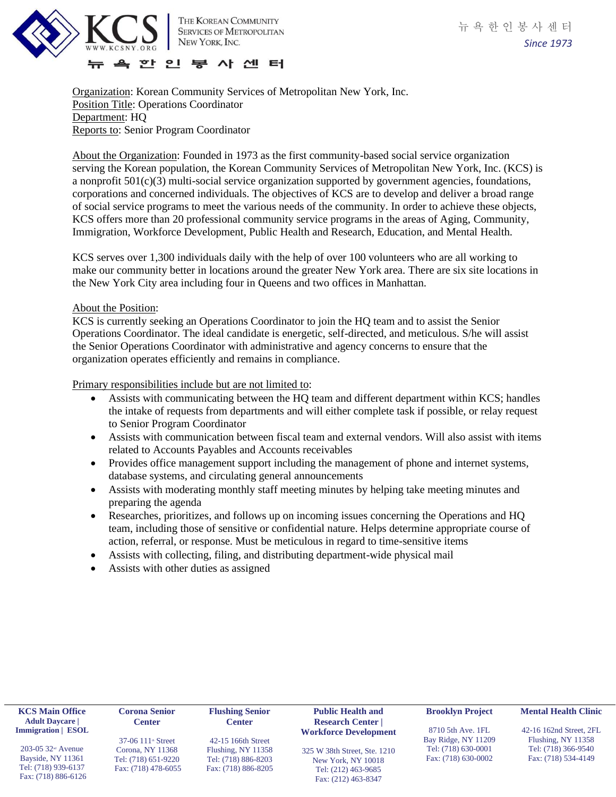

Organization: Korean Community Services of Metropolitan New York, Inc. Position Title: Operations Coordinator Department: HQ Reports to: Senior Program Coordinator

About the Organization: Founded in 1973 as the first community-based social service organization serving the Korean population, the Korean Community Services of Metropolitan New York, Inc. (KCS) is a nonprofit 501(c)(3) multi-social service organization supported by government agencies, foundations, corporations and concerned individuals. The objectives of KCS are to develop and deliver a broad range of social service programs to meet the various needs of the community. In order to achieve these objects, KCS offers more than 20 professional community service programs in the areas of Aging, Community, Immigration, Workforce Development, Public Health and Research, Education, and Mental Health.

KCS serves over 1,300 individuals daily with the help of over 100 volunteers who are all working to make our community better in locations around the greater New York area. There are six site locations in the New York City area including four in Queens and two offices in Manhattan.

## About the Position:

KCS is currently seeking an Operations Coordinator to join the HQ team and to assist the Senior Operations Coordinator. The ideal candidate is energetic, self-directed, and meticulous. S/he will assist the Senior Operations Coordinator with administrative and agency concerns to ensure that the organization operates efficiently and remains in compliance.

Primary responsibilities include but are not limited to:

- Assists with communicating between the HQ team and different department within KCS; handles the intake of requests from departments and will either complete task if possible, or relay request to Senior Program Coordinator
- Assists with communication between fiscal team and external vendors. Will also assist with items related to Accounts Payables and Accounts receivables
- Provides office management support including the management of phone and internet systems, database systems, and circulating general announcements
- Assists with moderating monthly staff meeting minutes by helping take meeting minutes and preparing the agenda
- Researches, prioritizes, and follows up on incoming issues concerning the Operations and HQ team, including those of sensitive or confidential nature. Helps determine appropriate course of action, referral, or response. Must be meticulous in regard to time-sensitive items
- Assists with collecting, filing, and distributing department-wide physical mail
- Assists with other duties as assigned

| <b>KCS Main Office</b><br><b>Adult Daycare</b>                                                                                                              | <b>Flushing Senior</b><br>Corona Senior<br><b>Center</b><br><b>Center</b>                                             |                                                                                        | <b>Public Health and</b><br><b>Research Center</b>                                                                               | <b>Brooklyn Project</b>                                                                | <b>Mental Health Clinic</b>                                                                 |
|-------------------------------------------------------------------------------------------------------------------------------------------------------------|-----------------------------------------------------------------------------------------------------------------------|----------------------------------------------------------------------------------------|----------------------------------------------------------------------------------------------------------------------------------|----------------------------------------------------------------------------------------|---------------------------------------------------------------------------------------------|
| <b>Immigration</b>   <b>ESOL</b><br>$203-05$ 32 <sup><math>\text{nd}</math></sup> Avenue<br>Bayside, NY 11361<br>Tel: (718) 939-6137<br>Fax: (718) 886-6126 | 37-06 $111$ <sup><math>\text{ }</math></sup> Street<br>Corona, NY 11368<br>Tel: (718) 651-9220<br>Fax: (718) 478-6055 | 42-15 166th Street<br>Flushing, NY 11358<br>Tel: (718) 886-8203<br>Fax: (718) 886-8205 | <b>Workforce Development</b><br>325 W 38th Street, Ste. 1210<br>New York, NY 10018<br>Tel: (212) 463-9685<br>Fax: (212) 463-8347 | 8710 5th Ave. 1FL<br>Bay Ridge, NY 11209<br>Tel: (718) 630-0001<br>Fax: (718) 630-0002 | 42-16 162nd Street, 2FL<br>Flushing, NY 11358<br>Tel: (718) 366-9540<br>Fax: (718) 534-4149 |